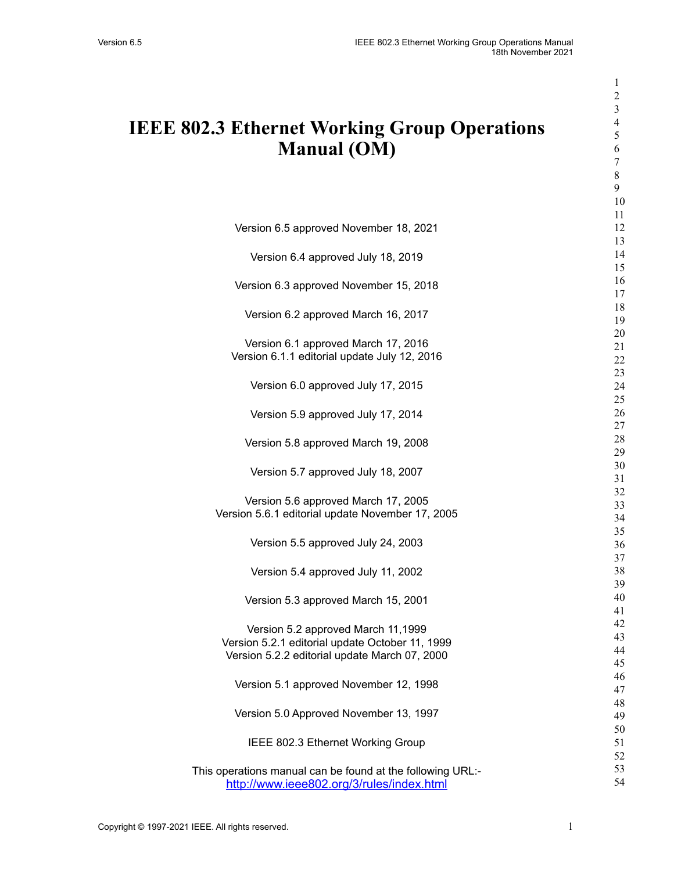| <b>IEEE 802.3 Ethernet Working Group Operations</b><br><b>Manual (OM)</b> | 1<br>$\overline{c}$<br>3<br>$\overline{\mathcal{A}}$<br>5<br>6<br>7<br>$8\,$<br>9 |
|---------------------------------------------------------------------------|-----------------------------------------------------------------------------------|
| Version 6.5 approved November 18, 2021                                    | 10<br>11<br>12                                                                    |
|                                                                           | 13                                                                                |
| Version 6.4 approved July 18, 2019                                        | 14<br>15                                                                          |
| Version 6.3 approved November 15, 2018                                    | 16<br>17                                                                          |
| Version 6.2 approved March 16, 2017                                       | 18<br>19                                                                          |
| Version 6.1 approved March 17, 2016                                       | 20                                                                                |
| Version 6.1.1 editorial update July 12, 2016                              | 21<br>22                                                                          |
|                                                                           | 23                                                                                |
| Version 6.0 approved July 17, 2015                                        | 24                                                                                |
|                                                                           | 25                                                                                |
| Version 5.9 approved July 17, 2014                                        | 26<br>27                                                                          |
|                                                                           | 28                                                                                |
| Version 5.8 approved March 19, 2008                                       | 29                                                                                |
| Version 5.7 approved July 18, 2007                                        | 30                                                                                |
|                                                                           | 31                                                                                |
| Version 5.6 approved March 17, 2005                                       | 32                                                                                |
| Version 5.6.1 editorial update November 17, 2005                          | 33                                                                                |
|                                                                           | 34                                                                                |
| Version 5.5 approved July 24, 2003                                        | 35<br>36                                                                          |
|                                                                           | 37                                                                                |
| Version 5.4 approved July 11, 2002                                        | 38                                                                                |
|                                                                           | 39                                                                                |
| Version 5.3 approved March 15, 2001                                       | 40                                                                                |
|                                                                           | 41                                                                                |
| Version 5.2 approved March 11,1999                                        | 42                                                                                |
| Version 5.2.1 editorial update October 11, 1999                           | 43                                                                                |
| Version 5.2.2 editorial update March 07, 2000                             | 44<br>45                                                                          |
|                                                                           | 46                                                                                |
| Version 5.1 approved November 12, 1998                                    | 47                                                                                |
|                                                                           | 48                                                                                |
| Version 5.0 Approved November 13, 1997                                    | 49                                                                                |
|                                                                           | 50                                                                                |
| IEEE 802.3 Ethernet Working Group                                         | 51                                                                                |
|                                                                           | 52                                                                                |
| This operations manual can be found at the following URL:-                | 53<br>54                                                                          |
| http://www.ieee802.org/3/rules/index.html                                 |                                                                                   |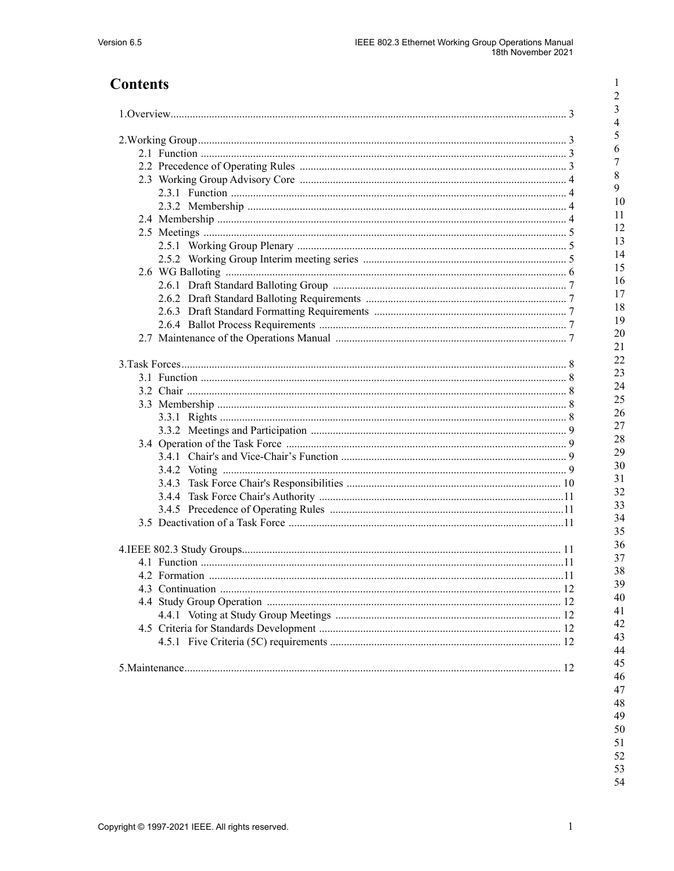$\,1\,$ 

# **Contents**

|  | 3.4.3 |  |
|--|-------|--|
|  |       |  |
|  |       |  |
|  |       |  |
|  |       |  |
|  |       |  |
|  |       |  |
|  |       |  |
|  |       |  |
|  |       |  |
|  |       |  |
|  |       |  |
|  |       |  |
|  |       |  |
|  |       |  |
|  |       |  |
|  |       |  |

 $48\,$ 49  $50\,$ 51  $52\,$ 53 54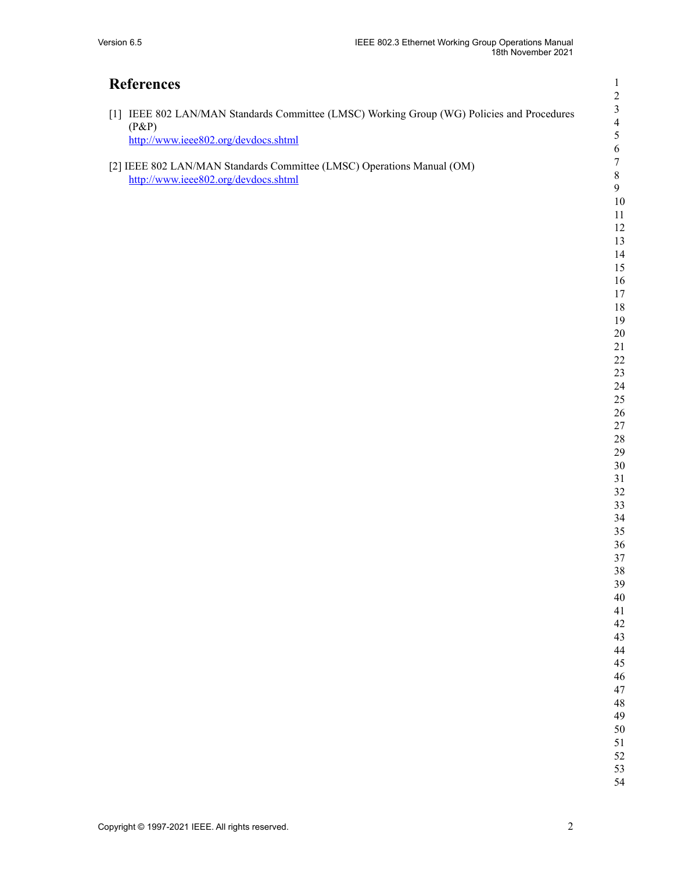# **References**

<span id="page-2-0"></span>

| [1] IEEE 802 LAN/MAN Standards Committee (LMSC) Working Group (WG) Policies and Procedures                                          |
|-------------------------------------------------------------------------------------------------------------------------------------|
| $(P\&P)$                                                                                                                            |
| http://www.ieee802.org/devdocs.shtml                                                                                                |
| [2] IEEE 002 LAMAAM $Q_{\text{true}}$ deal of $Q_{\text{true}}$ (LMCC) $Q_{\text{true}}$ is $M_{\text{true}}$ ( $Q_{\text{true}}$ ) |

<span id="page-2-1"></span>[2] IEEE 802 LAN/MAN Standards Committee (LMSC) Operations Manual (OM) <http://www.ieee802.org/devdocs.shtml>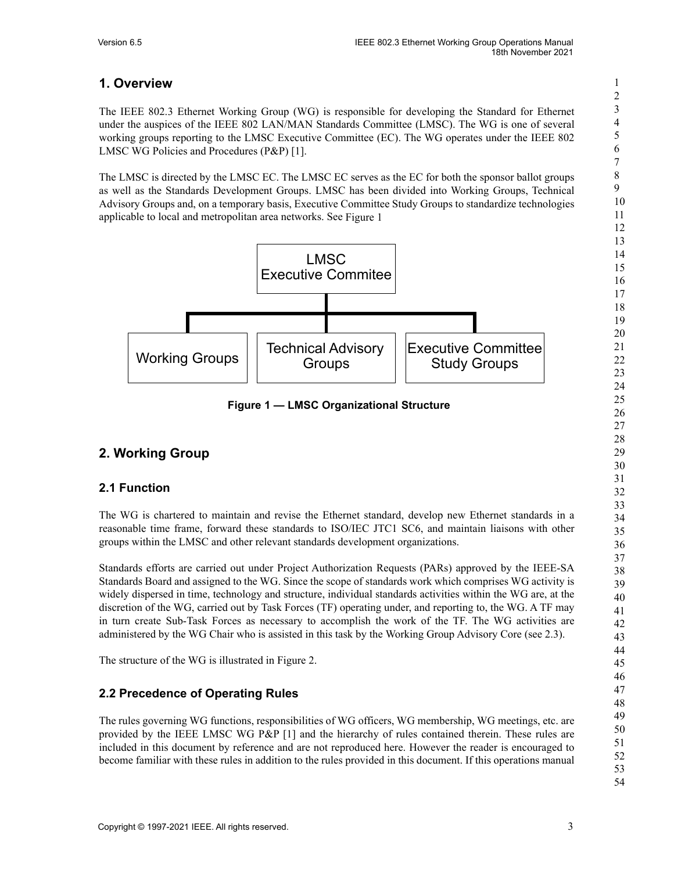## <span id="page-3-0"></span>**1. Overview**

The IEEE 802.3 Ethernet Working Group (WG) is responsible for developing the Standard for Ethernet under the auspices of the IEEE 802 LAN/MAN Standards Committee (LMSC). The WG is one of several working groups reporting to the LMSC Executive Committee (EC). The WG operates under the IEEE 802 LMSC WG Policies and Procedures (P&P) [\[1\]](#page-2-0).

The LMSC is directed by the LMSC EC. The LMSC EC serves as the EC for both the sponsor ballot groups as well as the Standards Development Groups. LMSC has been divided into Working Groups, Technical Advisory Groups and, on a temporary basis, Executive Committee Study Groups to standardize technologies applicable to local and metropolitan area networks. See [Figure](#page-3-4) 1



**Figure 1 — LMSC Organizational Structure**

## <span id="page-3-4"></span><span id="page-3-1"></span>**2. Working Group**

## <span id="page-3-2"></span>**2.1 Function**

The WG is chartered to maintain and revise the Ethernet standard, develop new Ethernet standards in a reasonable time frame, forward these standards to ISO/IEC JTC1 SC6, and maintain liaisons with other groups within the LMSC and other relevant standards development organizations.

Standards efforts are carried out under Project Authorization Requests (PARs) approved by the IEEE-SA Standards Board and assigned to the WG. Since the scope of standards work which comprises WG activity is widely dispersed in time, technology and structure, individual standards activities within the WG are, at the discretion of the WG, carried out by Task Forces (TF) operating under, and reporting to, the WG. A TF may in turn create Sub-Task Forces as necessary to accomplish the work of the TF. The WG activities are administered by the WG Chair who is assisted in this task by the Working Group Advisory Core (see [2.3\)](#page-4-0).

The structure of the WG is illustrated in [Figure](#page-4-4) 2.

## <span id="page-3-3"></span>**2.2 Precedence of Operating Rules**

The rules governing WG functions, responsibilities of WG officers, WG membership, WG meetings, etc. are provided by the IEEE LMSC WG P&P [\[1\]](#page-2-0) and the hierarchy of rules contained therein. These rules are included in this document by reference and are not reproduced here. However the reader is encouraged to become familiar with these rules in addition to the rules provided in this document. If this operations manual 1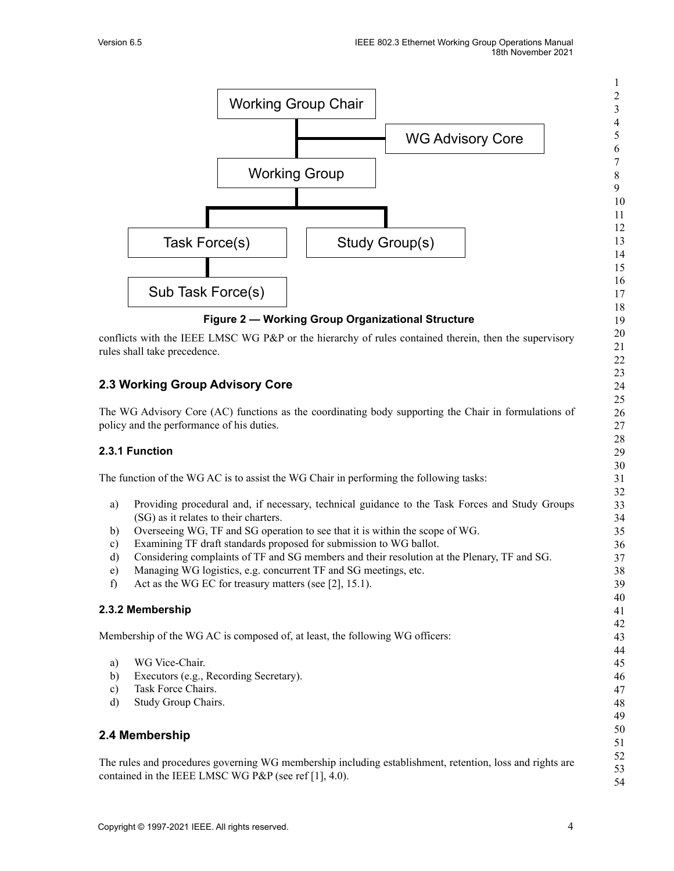

- <span id="page-4-4"></span><span id="page-4-1"></span><span id="page-4-0"></span>b) Overseeing WG, TF and SG operation to see that it is within the scope of WG.
- c) Examining TF draft standards proposed for submission to WG ballot.
- d) Considering complaints of TF and SG members and their resolution at the Plenary, TF and SG.
- e) Managing WG logistics, e.g. concurrent TF and SG meetings, etc.
- f) Act as the WG EC for treasury matters (see [\[2\],](#page-2-1) 15.1).

#### <span id="page-4-2"></span>**2.3.2 Membership**

Membership of the WG AC is composed of, at least, the following WG officers:

- a) WG Vice-Chair.
- b) Executors (e.g., Recording Secretary).
- c) Task Force Chairs.
- d) Study Group Chairs.

## <span id="page-4-3"></span>**2.4 Membership**

The rules and procedures governing WG membership including establishment, retention, loss and rights are contained in the IEEE LMSC WG P&P (see ref [\[1\]](#page-2-0), 4.0).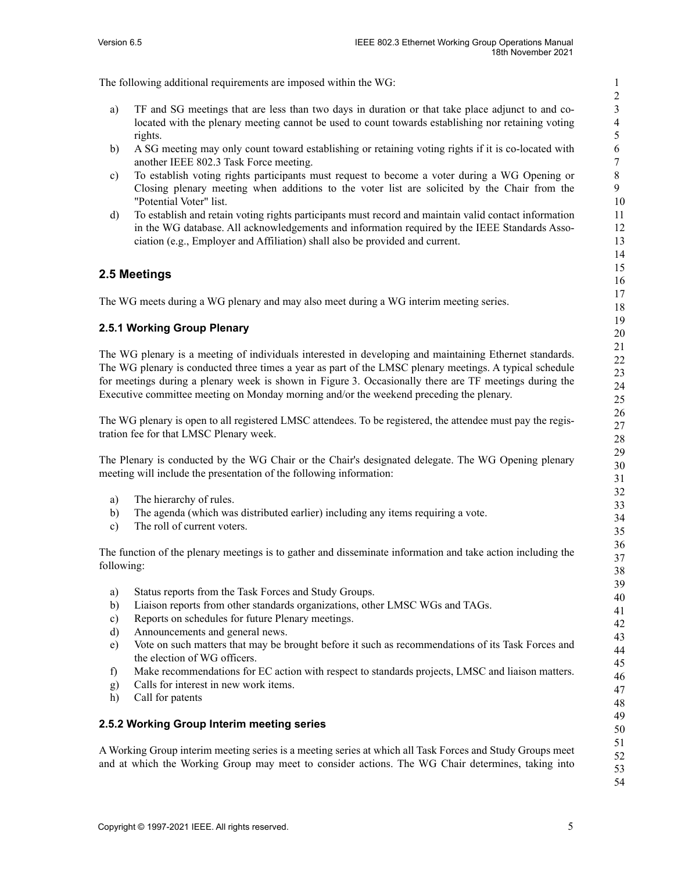The following additional requirements are imposed within the WG:

- a) TF and SG meetings that are less than two days in duration or that take place adjunct to and colocated with the plenary meeting cannot be used to count towards establishing nor retaining voting rights.
- b) A SG meeting may only count toward establishing or retaining voting rights if it is co-located with another IEEE 802.3 Task Force meeting.
- c) To establish voting rights participants must request to become a voter during a WG Opening or Closing plenary meeting when additions to the voter list are solicited by the Chair from the "Potential Voter" list.
- d) To establish and retain voting rights participants must record and maintain valid contact information in the WG database. All acknowledgements and information required by the IEEE Standards Association (e.g., Employer and Affiliation) shall also be provided and current.

### <span id="page-5-0"></span>**2.5 Meetings**

The WG meets during a WG plenary and may also meet during a WG interim meeting series.

#### <span id="page-5-1"></span>**2.5.1 Working Group Plenary**

The WG plenary is a meeting of individuals interested in developing and maintaining Ethernet standards. The WG plenary is conducted three times a year as part of the LMSC plenary meetings. A typical schedule for meetings during a plenary week is shown in [Figure](#page-6-1) 3. Occasionally there are TF meetings during the Executive committee meeting on Monday morning and/or the weekend preceding the plenary.

The WG plenary is open to all registered LMSC attendees. To be registered, the attendee must pay the registration fee for that LMSC Plenary week.

The Plenary is conducted by the WG Chair or the Chair's designated delegate. The WG Opening plenary meeting will include the presentation of the following information:

- a) The hierarchy of rules.
- b) The agenda (which was distributed earlier) including any items requiring a vote.
- c) The roll of current voters.

The function of the plenary meetings is to gather and disseminate information and take action including the following:

- a) Status reports from the Task Forces and Study Groups.
- b) Liaison reports from other standards organizations, other LMSC WGs and TAGs.
- c) Reports on schedules for future Plenary meetings.
- d) Announcements and general news.
- e) Vote on such matters that may be brought before it such as recommendations of its Task Forces and the election of WG officers.
- f) Make recommendations for EC action with respect to standards projects, LMSC and liaison matters.
- g) Calls for interest in new work items.
- h) Call for patents

#### <span id="page-5-2"></span>**2.5.2 Working Group Interim meeting series**

A Working Group interim meeting series is a meeting series at which all Task Forces and Study Groups meet and at which the Working Group may meet to consider actions. The WG Chair determines, taking into

52 53 54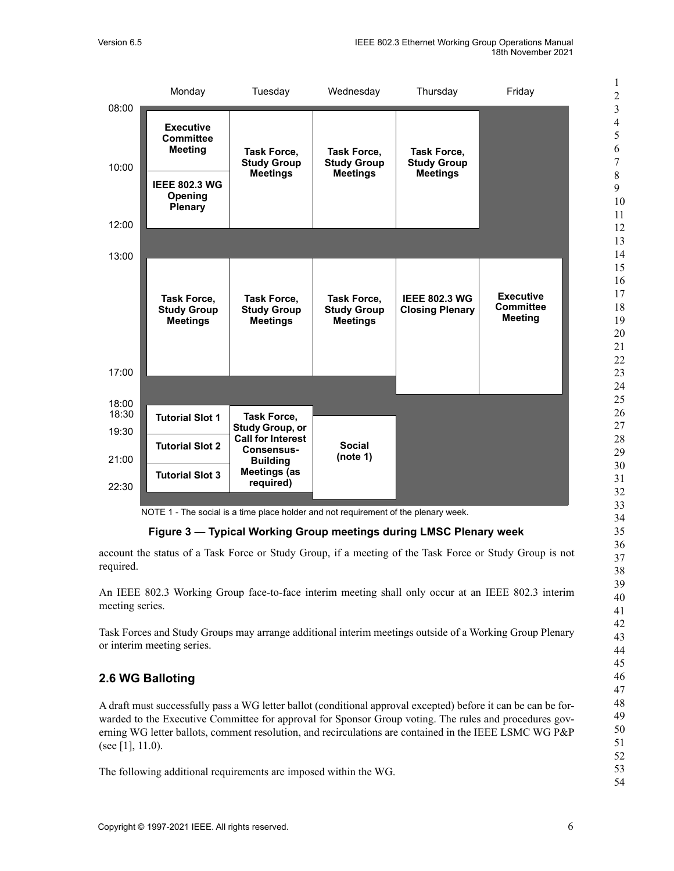

NOTE 1 - The social is a time place holder and not requirement of the plenary week.

**Figure 3 — Typical Working Group meetings during LMSC Plenary week**

<span id="page-6-1"></span>account the status of a Task Force or Study Group, if a meeting of the Task Force or Study Group is not required.

An IEEE 802.3 Working Group face-to-face interim meeting shall only occur at an IEEE 802.3 interim meeting series.

Task Forces and Study Groups may arrange additional interim meetings outside of a Working Group Plenary or interim meeting series.

## <span id="page-6-0"></span>**2.6 WG Balloting**

A draft must successfully pass a WG letter ballot (conditional approval excepted) before it can be can be forwarded to the Executive Committee for approval for Sponsor Group voting. The rules and procedures governing WG letter ballots, comment resolution, and recirculations are contained in the IEEE LSMC WG P&P (see [\[1\]](#page-2-0), 11.0).

The following additional requirements are imposed within the WG.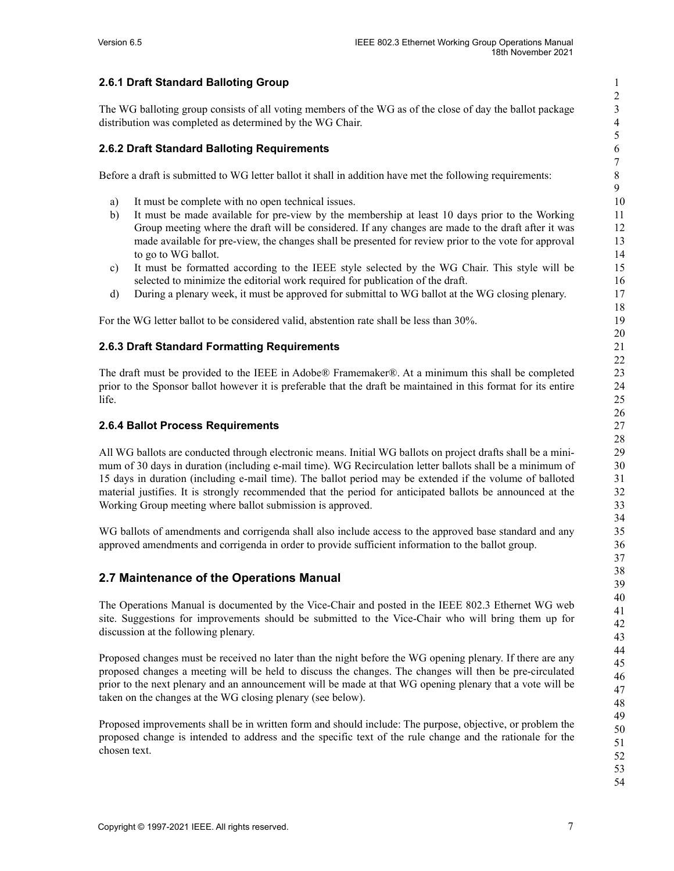### <span id="page-7-0"></span>**2.6.1 Draft Standard Balloting Group**

The WG balloting group consists of all voting members of the WG as of the close of day the ballot package distribution was completed as determined by the WG Chair.

#### <span id="page-7-1"></span>**2.6.2 Draft Standard Balloting Requirements**

Before a draft is submitted to WG letter ballot it shall in addition have met the following requirements:

- a) It must be complete with no open technical issues.
- b) It must be made available for pre-view by the membership at least 10 days prior to the Working Group meeting where the draft will be considered. If any changes are made to the draft after it was made available for pre-view, the changes shall be presented for review prior to the vote for approval to go to WG ballot.
- c) It must be formatted according to the IEEE style selected by the WG Chair. This style will be selected to minimize the editorial work required for publication of the draft.
- d) During a plenary week, it must be approved for submittal to WG ballot at the WG closing plenary.

For the WG letter ballot to be considered valid, abstention rate shall be less than 30%.

#### <span id="page-7-2"></span>**2.6.3 Draft Standard Formatting Requirements**

The draft must be provided to the IEEE in Adobe® Framemaker®. At a minimum this shall be completed prior to the Sponsor ballot however it is preferable that the draft be maintained in this format for its entire life.

#### <span id="page-7-3"></span>**2.6.4 Ballot Process Requirements**

All WG ballots are conducted through electronic means. Initial WG ballots on project drafts shall be a minimum of 30 days in duration (including e-mail time). WG Recirculation letter ballots shall be a minimum of 15 days in duration (including e-mail time). The ballot period may be extended if the volume of balloted material justifies. It is strongly recommended that the period for anticipated ballots be announced at the Working Group meeting where ballot submission is approved.

WG ballots of amendments and corrigenda shall also include access to the approved base standard and any approved amendments and corrigenda in order to provide sufficient information to the ballot group.

#### <span id="page-7-4"></span>**2.7 Maintenance of the Operations Manual**

The Operations Manual is documented by the Vice-Chair and posted in the IEEE 802.3 Ethernet WG web site. Suggestions for improvements should be submitted to the Vice-Chair who will bring them up for discussion at the following plenary.

Proposed changes must be received no later than the night before the WG opening plenary. If there are any proposed changes a meeting will be held to discuss the changes. The changes will then be pre-circulated prior to the next plenary and an announcement will be made at that WG opening plenary that a vote will be taken on the changes at the WG closing plenary (see below).

Proposed improvements shall be in written form and should include: The purpose, objective, or problem the proposed change is intended to address and the specific text of the rule change and the rationale for the chosen text.

1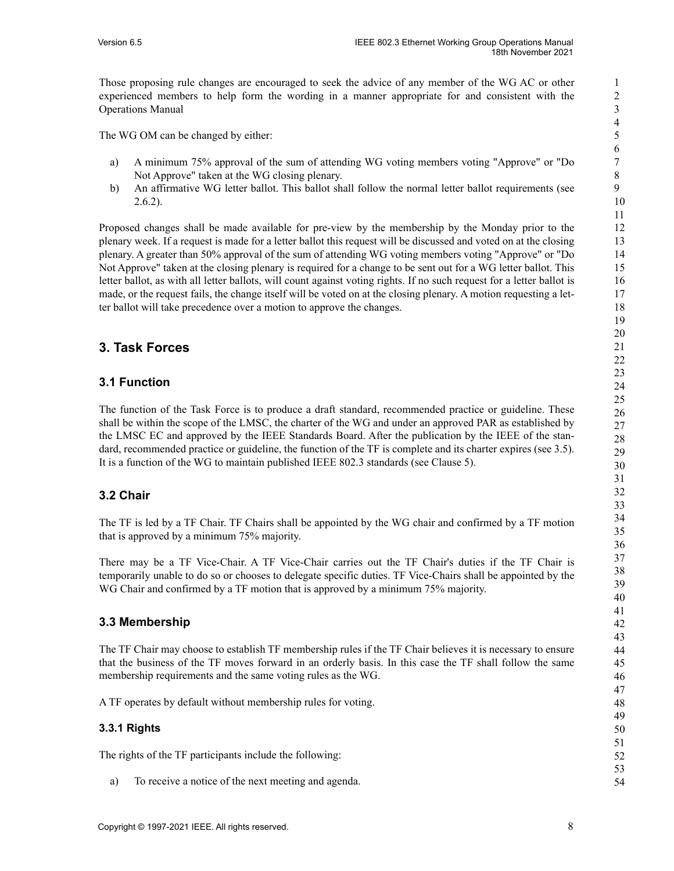Those proposing rule changes are encouraged to seek the advice of any member of the WG AC or other experienced members to help form the wording in a manner appropriate for and consistent with the Operations Manual

The WG OM can be changed by either:

- a) A minimum 75% approval of the sum of attending WG voting members voting "Approve" or "Do Not Approve" taken at the WG closing plenary.
- b) An affirmative WG letter ballot. This ballot shall follow the normal letter ballot requirements (see [2.6.2\)](#page-7-1).

Proposed changes shall be made available for pre-view by the membership by the Monday prior to the plenary week. If a request is made for a letter ballot this request will be discussed and voted on at the closing plenary. A greater than 50% approval of the sum of attending WG voting members voting "Approve" or "Do Not Approve" taken at the closing plenary is required for a change to be sent out for a WG letter ballot. This letter ballot, as with all letter ballots, will count against voting rights. If no such request for a letter ballot is made, or the request fails, the change itself will be voted on at the closing plenary. A motion requesting a letter ballot will take precedence over a motion to approve the changes.

## <span id="page-8-0"></span>**3. Task Forces**

## <span id="page-8-1"></span>**3.1 Function**

The function of the Task Force is to produce a draft standard, recommended practice or guideline. These shall be within the scope of the LMSC, the charter of the WG and under an approved PAR as established by the LMSC EC and approved by the IEEE Standards Board. After the publication by the IEEE of the standard, recommended practice or guideline, the function of the TF is complete and its charter expires (see [3.5](#page-11-2)). It is a function of the WG to maintain published IEEE 802.3 standards (see [Clause](#page-12-5) 5).

## <span id="page-8-2"></span>**3.2 Chair**

The TF is led by a TF Chair. TF Chairs shall be appointed by the WG chair and confirmed by a TF motion that is approved by a minimum 75% majority.

There may be a TF Vice-Chair. A TF Vice-Chair carries out the TF Chair's duties if the TF Chair is temporarily unable to do so or chooses to delegate specific duties. TF Vice-Chairs shall be appointed by the WG Chair and confirmed by a TF motion that is approved by a minimum 75% majority.

## <span id="page-8-3"></span>**3.3 Membership**

The TF Chair may choose to establish TF membership rules if the TF Chair believes it is necessary to ensure that the business of the TF moves forward in an orderly basis. In this case the TF shall follow the same membership requirements and the same voting rules as the WG.

A TF operates by default without membership rules for voting.

#### <span id="page-8-4"></span>**3.3.1 Rights**

The rights of the TF participants include the following:

a) To receive a notice of the next meeting and agenda.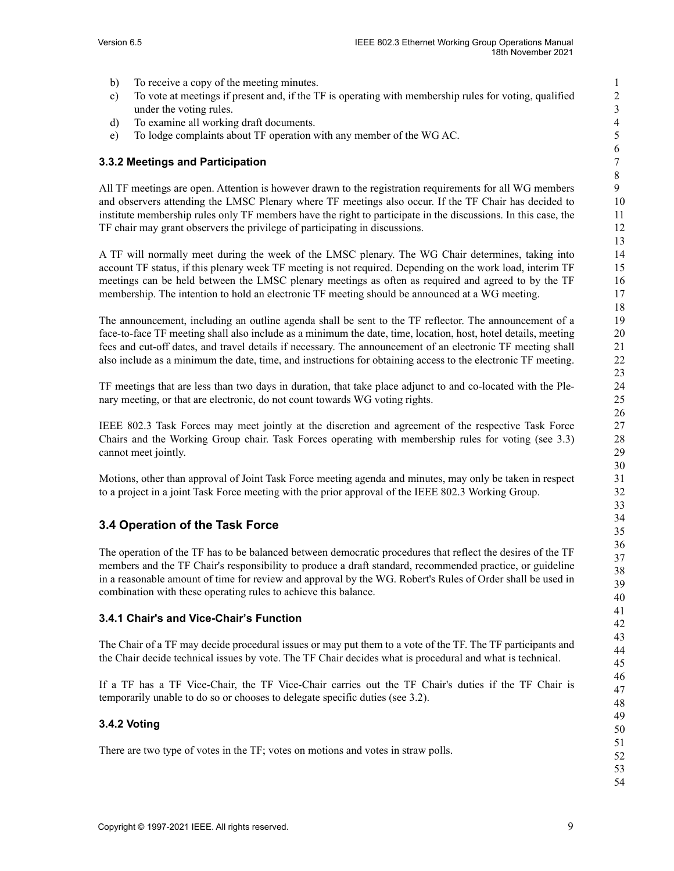- b) To receive a copy of the meeting minutes.
- c) To vote at meetings if present and, if the TF is operating with membership rules for voting, qualified under the voting rules.
- d) To examine all working draft documents.
- e) To lodge complaints about TF operation with any member of the WG AC.

#### <span id="page-9-0"></span>**3.3.2 Meetings and Participation**

All TF meetings are open. Attention is however drawn to the registration requirements for all WG members and observers attending the LMSC Plenary where TF meetings also occur. If the TF Chair has decided to institute membership rules only TF members have the right to participate in the discussions. In this case, the TF chair may grant observers the privilege of participating in discussions.

A TF will normally meet during the week of the LMSC plenary. The WG Chair determines, taking into account TF status, if this plenary week TF meeting is not required. Depending on the work load, interim TF meetings can be held between the LMSC plenary meetings as often as required and agreed to by the TF membership. The intention to hold an electronic TF meeting should be announced at a WG meeting.

The announcement, including an outline agenda shall be sent to the TF reflector. The announcement of a face-to-face TF meeting shall also include as a minimum the date, time, location, host, hotel details, meeting fees and cut-off dates, and travel details if necessary. The announcement of an electronic TF meeting shall also include as a minimum the date, time, and instructions for obtaining access to the electronic TF meeting.

TF meetings that are less than two days in duration, that take place adjunct to and co-located with the Plenary meeting, or that are electronic, do not count towards WG voting rights.

IEEE 802.3 Task Forces may meet jointly at the discretion and agreement of the respective Task Force Chairs and the Working Group chair. Task Forces operating with membership rules for voting (see [3.3\)](#page-8-3) cannot meet jointly.

Motions, other than approval of Joint Task Force meeting agenda and minutes, may only be taken in respect to a project in a joint Task Force meeting with the prior approval of the IEEE 802.3 Working Group.

## <span id="page-9-1"></span>**3.4 Operation of the Task Force**

The operation of the TF has to be balanced between democratic procedures that reflect the desires of the TF members and the TF Chair's responsibility to produce a draft standard, recommended practice, or guideline in a reasonable amount of time for review and approval by the WG. Robert's Rules of Order shall be used in combination with these operating rules to achieve this balance.

#### <span id="page-9-2"></span>**3.4.1 Chair's and Vice-Chair's Function**

The Chair of a TF may decide procedural issues or may put them to a vote of the TF. The TF participants and the Chair decide technical issues by vote. The TF Chair decides what is procedural and what is technical.

If a TF has a TF Vice-Chair, the TF Vice-Chair carries out the TF Chair's duties if the TF Chair is temporarily unable to do so or chooses to delegate specific duties (see [3.2\)](#page-8-2).

#### <span id="page-9-3"></span>**3.4.2 Voting**

There are two type of votes in the TF; votes on motions and votes in straw polls.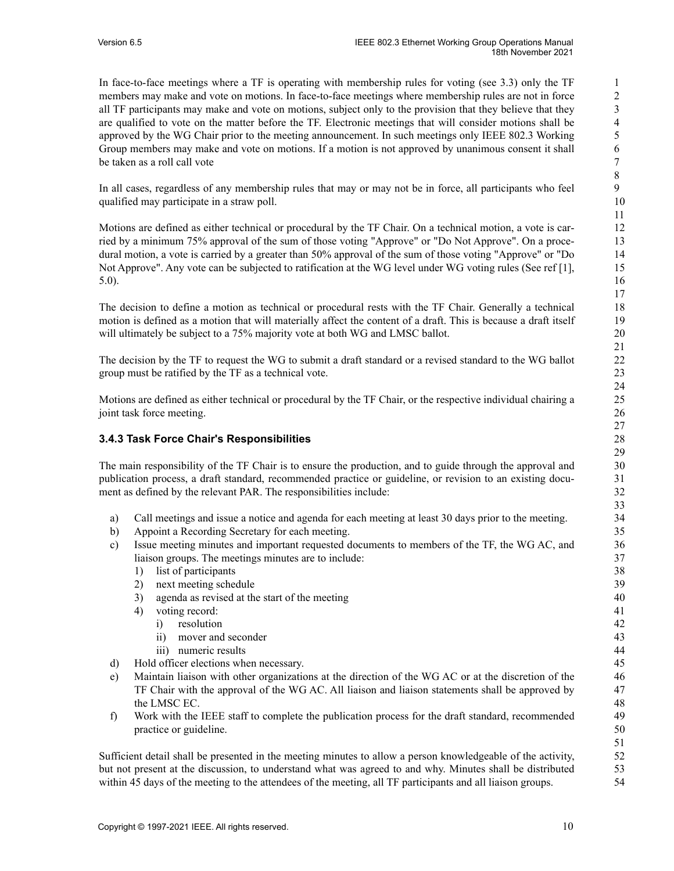In face-to-face meetings where a TF is operating with membership rules for voting (see [3.3](#page-8-3)) only the TF members may make and vote on motions. In face-to-face meetings where membership rules are not in force all TF participants may make and vote on motions, subject only to the provision that they believe that they are qualified to vote on the matter before the TF. Electronic meetings that will consider motions shall be approved by the WG Chair prior to the meeting announcement. In such meetings only IEEE 802.3 Working Group members may make and vote on motions. If a motion is not approved by unanimous consent it shall be taken as a roll call vote

In all cases, regardless of any membership rules that may or may not be in force, all participants who feel qualified may participate in a straw poll.

Motions are defined as either technical or procedural by the TF Chair. On a technical motion, a vote is carried by a minimum 75% approval of the sum of those voting "Approve" or "Do Not Approve". On a procedural motion, a vote is carried by a greater than 50% approval of the sum of those voting "Approve" or "Do Not Approve". Any vote can be subjected to ratification at the WG level under WG voting rules (See ref [1], 5.0).

The decision to define a motion as technical or procedural rests with the TF Chair. Generally a technical motion is defined as a motion that will materially affect the content of a draft. This is because a draft itself will ultimately be subject to a 75% majority vote at both WG and LMSC ballot.

The decision by the TF to request the WG to submit a draft standard or a revised standard to the WG ballot group must be ratified by the TF as a technical vote.

Motions are defined as either technical or procedural by the TF Chair, or the respective individual chairing a joint task force meeting.

#### <span id="page-10-0"></span>**3.4.3 Task Force Chair's Responsibilities**

The main responsibility of the TF Chair is to ensure the production, and to guide through the approval and publication process, a draft standard, recommended practice or guideline, or revision to an existing document as defined by the relevant PAR. The responsibilities include:

- a) Call meetings and issue a notice and agenda for each meeting at least 30 days prior to the meeting.
- b) Appoint a Recording Secretary for each meeting.
- c) Issue meeting minutes and important requested documents to members of the TF, the WG AC, and liaison groups. The meetings minutes are to include:
	- 1) list of participants
	- 2) next meeting schedule
	- 3) agenda as revised at the start of the meeting
	- 4) voting record:
		- i) resolution
		- ii) mover and seconder
		- iii) numeric results
- d) Hold officer elections when necessary.
- e) Maintain liaison with other organizations at the direction of the WG AC or at the discretion of the TF Chair with the approval of the WG AC. All liaison and liaison statements shall be approved by the LMSC EC.
- f) Work with the IEEE staff to complete the publication process for the draft standard, recommended practice or guideline.

Sufficient detail shall be presented in the meeting minutes to allow a person knowledgeable of the activity, but not present at the discussion, to understand what was agreed to and why. Minutes shall be distributed within 45 days of the meeting to the attendees of the meeting, all TF participants and all liaison groups.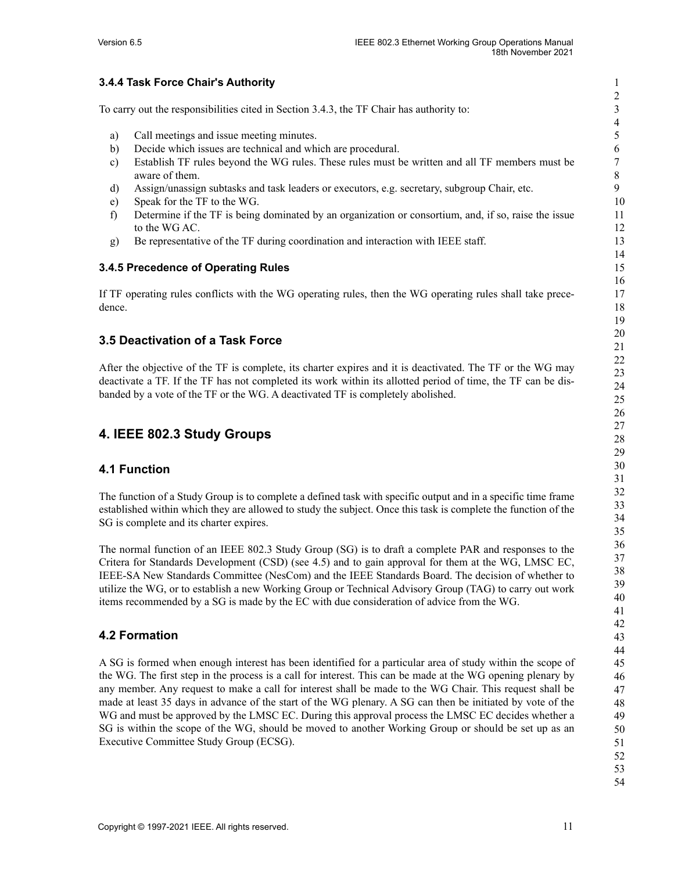#### <span id="page-11-0"></span>**3.4.4 Task Force Chair's Authority**

To carry out the responsibilities cited in Section [3.4.3,](#page-10-0) the TF Chair has authority to:

- a) Call meetings and issue meeting minutes.
- b) Decide which issues are technical and which are procedural.
- c) Establish TF rules beyond the WG rules. These rules must be written and all TF members must be aware of them.
- d) Assign/unassign subtasks and task leaders or executors, e.g. secretary, subgroup Chair, etc.
- e) Speak for the TF to the WG.
- f) Determine if the TF is being dominated by an organization or consortium, and, if so, raise the issue to the WG AC.
- g) Be representative of the TF during coordination and interaction with IEEE staff.

#### <span id="page-11-1"></span>**3.4.5 Precedence of Operating Rules**

If TF operating rules conflicts with the WG operating rules, then the WG operating rules shall take precedence.

#### <span id="page-11-2"></span>**3.5 Deactivation of a Task Force**

After the objective of the TF is complete, its charter expires and it is deactivated. The TF or the WG may deactivate a TF. If the TF has not completed its work within its allotted period of time, the TF can be disbanded by a vote of the TF or the WG. A deactivated TF is completely abolished.

## <span id="page-11-3"></span>**4. IEEE 802.3 Study Groups**

#### <span id="page-11-4"></span>**4.1 Function**

The function of a Study Group is to complete a defined task with specific output and in a specific time frame established within which they are allowed to study the subject. Once this task is complete the function of the SG is complete and its charter expires.

The normal function of an IEEE 802.3 Study Group (SG) is to draft a complete PAR and responses to the Critera for Standards Development (CSD) (see [4.5\)](#page-12-3) and to gain approval for them at the WG, LMSC EC, IEEE-SA New Standards Committee (NesCom) and the IEEE Standards Board. The decision of whether to utilize the WG, or to establish a new Working Group or Technical Advisory Group (TAG) to carry out work items recommended by a SG is made by the EC with due consideration of advice from the WG.

## <span id="page-11-5"></span>**4.2 Formation**

A SG is formed when enough interest has been identified for a particular area of study within the scope of the WG. The first step in the process is a call for interest. This can be made at the WG opening plenary by any member. Any request to make a call for interest shall be made to the WG Chair. This request shall be made at least 35 days in advance of the start of the WG plenary. A SG can then be initiated by vote of the WG and must be approved by the LMSC EC. During this approval process the LMSC EC decides whether a SG is within the scope of the WG, should be moved to another Working Group or should be set up as an Executive Committee Study Group (ECSG).